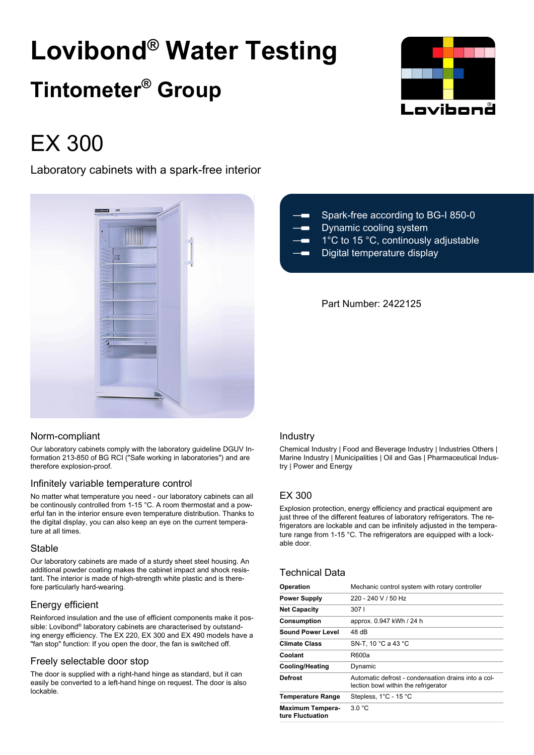# **Lovibond® Water Testing Tintometer® Group**



# EX 300

Laboratory cabinets with a spark-free interior



# Norm-compliant

Our laboratory cabinets comply with the laboratory guideline DGUV Information 213-850 of BG RCI ("Safe working in laboratories") and are therefore explosion-proof.

# Infinitely variable temperature control

No matter what temperature you need - our laboratory cabinets can all be continously controlled from 1-15 °C. A room thermostat and a powerful fan in the interior ensure even temperature distribution. Thanks to the digital display, you can also keep an eye on the current temperature at all times.

# Stable

Our laboratory cabinets are made of a sturdy sheet steel housing. An additional powder coating makes the cabinet impact and shock resistant. The interior is made of high-strength white plastic and is therefore particularly hard-wearing.

# Energy efficient

Reinforced insulation and the use of efficient components make it possible: Lovibond® laboratory cabinets are characterised by outstanding energy efficiency. The EX 220, EX 300 and EX 490 models have a "fan stop" function: If you open the door, the fan is switched off.

# Freely selectable door stop

The door is supplied with a right-hand hinge as standard, but it can easily be converted to a left-hand hinge on request. The door is also lockable.

| $ -$                                                           | Spark-free according to BG-I 850-0   |
|----------------------------------------------------------------|--------------------------------------|
| $\overline{\phantom{a}}$ . The set of $\overline{\phantom{a}}$ | Dynamic cooling system               |
| $  -$                                                          | 1°C to 15 °C, continously adjustable |
| $ -$                                                           | Digital temperature display          |

# Part Number: 2422125

# Industry

Chemical Industry | Food and Beverage Industry | Industries Others | Marine Industry | Municipalities | Oil and Gas | Pharmaceutical Industry | Power and Energy

# EX 300

Explosion protection, energy efficiency and practical equipment are just three of the different features of laboratory refrigerators. The refrigerators are lockable and can be infinitely adjusted in the temperature range from 1-15 °C. The refrigerators are equipped with a lockable door.

# Technical Data

| <b>Operation</b>                            | Mechanic control system with rotary controller                                              |
|---------------------------------------------|---------------------------------------------------------------------------------------------|
| <b>Power Supply</b>                         | 220 - 240 V / 50 Hz                                                                         |
| <b>Net Capacity</b>                         | 3071                                                                                        |
| <b>Consumption</b>                          | approx. 0.947 kWh / 24 h                                                                    |
| <b>Sound Power Level</b>                    | 48 dB                                                                                       |
| <b>Climate Class</b>                        | SN-T, 10 °C a 43 °C                                                                         |
| Coolant                                     | R600a                                                                                       |
| <b>Cooling/Heating</b>                      | Dynamic                                                                                     |
| Defrost                                     | Automatic defrost - condensation drains into a col-<br>lection bowl within the refrigerator |
| <b>Temperature Range</b>                    | Stepless, 1°C - 15 °C                                                                       |
| <b>Maximum Tempera-</b><br>ture Fluctuation | 3.0 °C                                                                                      |